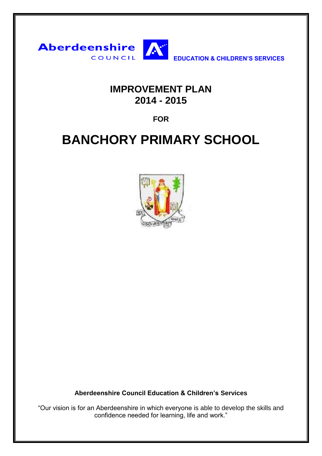

## **IMPROVEMENT PLAN 2014 - 2015**

**FOR**

## **BANCHORY PRIMARY SCHOOL**



**Aberdeenshire Council Education & Children's Services**

"Our vision is for an Aberdeenshire in which everyone is able to develop the skills and confidence needed for learning, life and work."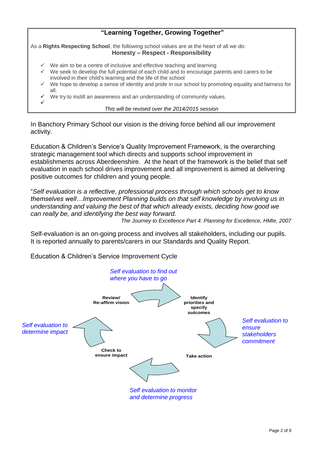## **"Learning Together, Growing Together"**

As a **Rights Respecting School**, the following school values are at the heart of all we do: **Honesty – Respect - Responsibility**

- We aim to be a centre of inclusive and effective teaching and learning
- $\checkmark$  We seek to develop the full potential of each child and to encourage parents and carers to be involved in their child's learning and the life of the school
- We hope to develop a sense of identity and pride in our school by promoting equality and fairness for all.
- We try to instill an awareness and an understanding of community values.

 $\checkmark$ 

*This will be revised over the 2014/2015 session*

In Banchory Primary School our vision is the driving force behind all our improvement activity.

Education & Children's Service's Quality Improvement Framework, is the overarching strategic management tool which directs and supports school improvement in establishments across Aberdeenshire. At the heart of the framework is the belief that self evaluation in each school drives improvement and all improvement is aimed at delivering positive outcomes for children and young people.

"*Self evaluation is a reflective, professional process through which schools get to know themselves well…Improvement Planning builds on that self knowledge by involving us in understanding and valuing the best of that which already exists, deciding how good we can really be, and identifying the best way forward.*

*The Journey to Excellence Part 4: Planning for Excellence, HMIe, 2007*

Self-evaluation is an on-going process and involves all stakeholders, including our pupils. It is reported annually to parents/carers in our Standards and Quality Report.

Education & Children's Service Improvement Cycle

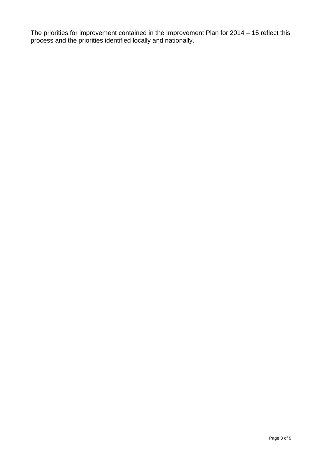The priorities for improvement contained in the Improvement Plan for 2014 – 15 reflect this process and the priorities identified locally and nationally.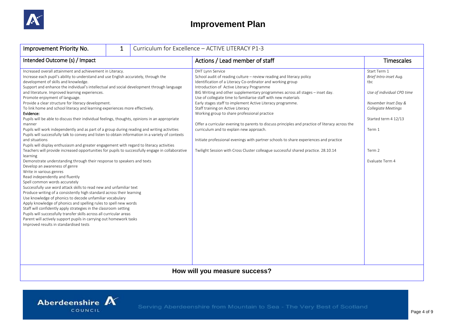

## **Improvement Plan**

| Improvement Priority No.                                                                                                                                                                                                                                                                                                                                                                                                                                                                                                                                                                                                                                                                                                                                                                                                                                                                                                                                                                                                                                                                                                                                                                                                                                                                                                                                                                                                                                                                                                                                                                                                                                                                                                                                                                                                         | 1 |  | Curriculum for Excellence - ACTIVE LITERACY P1-3                                                                                                                                                                                                                                                                                                                                                                                                                                                                                                                                                                                                                                                                                                                                                                                               |                                                                                                                                                                                           |
|----------------------------------------------------------------------------------------------------------------------------------------------------------------------------------------------------------------------------------------------------------------------------------------------------------------------------------------------------------------------------------------------------------------------------------------------------------------------------------------------------------------------------------------------------------------------------------------------------------------------------------------------------------------------------------------------------------------------------------------------------------------------------------------------------------------------------------------------------------------------------------------------------------------------------------------------------------------------------------------------------------------------------------------------------------------------------------------------------------------------------------------------------------------------------------------------------------------------------------------------------------------------------------------------------------------------------------------------------------------------------------------------------------------------------------------------------------------------------------------------------------------------------------------------------------------------------------------------------------------------------------------------------------------------------------------------------------------------------------------------------------------------------------------------------------------------------------|---|--|------------------------------------------------------------------------------------------------------------------------------------------------------------------------------------------------------------------------------------------------------------------------------------------------------------------------------------------------------------------------------------------------------------------------------------------------------------------------------------------------------------------------------------------------------------------------------------------------------------------------------------------------------------------------------------------------------------------------------------------------------------------------------------------------------------------------------------------------|-------------------------------------------------------------------------------------------------------------------------------------------------------------------------------------------|
| Intended Outcome (s) / Impact                                                                                                                                                                                                                                                                                                                                                                                                                                                                                                                                                                                                                                                                                                                                                                                                                                                                                                                                                                                                                                                                                                                                                                                                                                                                                                                                                                                                                                                                                                                                                                                                                                                                                                                                                                                                    |   |  | Actions / Lead member of staff                                                                                                                                                                                                                                                                                                                                                                                                                                                                                                                                                                                                                                                                                                                                                                                                                 | <b>Timescales</b>                                                                                                                                                                         |
| Increased overall attainment and achievement in Literacy.<br>Increase each pupil's ability to understand and use English accurately, through the<br>development of skills and knowledge.<br>Support and enhance the individual's intellectual and social development through language<br>and literature. Improved learning experiences.<br>Promote enjoyment of language.<br>Provide a clear structure for literacy development.<br>To link home and school literacy and learning experiences more effectively.<br>Evidence:<br>Pupils will be able to discuss their individual feelings, thoughts, opinions in an appropriate<br>manner<br>Pupils will work independently and as part of a group during reading and writing activities<br>Pupils will successfully talk to convey and listen to obtain information in a variety of contexts<br>and situations<br>Pupils will display enthusiasm and greater engagement with regard to literacy activities<br>Teachers will provide increased opportunities for pupils to successfully engage in collaborative<br>learning<br>Demonstrate understanding through their response to speakers and texts<br>Develop an awareness of genre<br>Write in various genres<br>Read independently and fluently<br>Spell common words accurately<br>Successfully use word attack skills to read new and unfamiliar text<br>Produce writing of a consistently high standard across their learning<br>Use knowledge of phonics to decode unfamiliar vocabulary<br>Apply knowledge of phonics and spelling rules to spell new words<br>Staff will confidently apply strategies in the classroom setting<br>Pupils will successfully transfer skills across all curricular areas<br>Parent will actively support pupils in carrying out homework tasks<br>Improved results in standardised tests |   |  | <b>DHT Lynn Service</b><br>School audit of reading culture - review reading and literacy policy<br>Identification of a Literacy Co-ordinator and working group<br>Introduction of Active Literacy Programme<br>BIG Writing and other supplementary programmes across all stages - inset day.<br>Use of collegiate time to familiarise staff with new materials<br>Early stages staff to implement Active Literacy programme.<br>Staff training on Active Literacy<br>Working group to share professional practice<br>Offer a curricular evening to parents to discuss principles and practice of literacy across the<br>curriculum and to explain new approach.<br>Initiate professional evenings with partner schools to share experiences and practice<br>Twilight Session with Cross Cluster colleague successful shared practice. 28.10.14 | Start Term 1<br>Brief Intro-inset Aug.<br>tbc<br>Use of individual CPD time<br>November Inset Day &<br>Collegiate Meetings<br>Started term 4 12/13<br>Term 1<br>Term 2<br>Evaluate Term 4 |
| How will you measure success?                                                                                                                                                                                                                                                                                                                                                                                                                                                                                                                                                                                                                                                                                                                                                                                                                                                                                                                                                                                                                                                                                                                                                                                                                                                                                                                                                                                                                                                                                                                                                                                                                                                                                                                                                                                                    |   |  |                                                                                                                                                                                                                                                                                                                                                                                                                                                                                                                                                                                                                                                                                                                                                                                                                                                |                                                                                                                                                                                           |

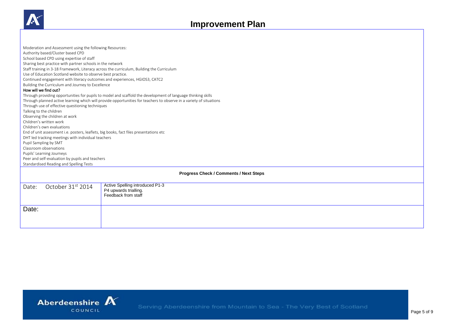

| Moderation and Assessment using the following Resources:                                                            |  |  |  |  |  |
|---------------------------------------------------------------------------------------------------------------------|--|--|--|--|--|
| Authority based/Cluster based CPD                                                                                   |  |  |  |  |  |
| School based CPD using expertise of staff                                                                           |  |  |  |  |  |
| Sharing best practice with partner schools in the network                                                           |  |  |  |  |  |
| Staff training in 3-18 Framework, Literacy across the curriculum, Building the Curriculum                           |  |  |  |  |  |
| Use of Education Scotland website to observe best practice.                                                         |  |  |  |  |  |
| Continued engagement with literacy outcomes and experiences, HGIOS3, CATC2                                          |  |  |  |  |  |
| Building the Curriculum and Journey to Excellence<br>How will we find out?                                          |  |  |  |  |  |
|                                                                                                                     |  |  |  |  |  |
| Through providing opportunities for pupils to model and scaffold the development of language thinking skills        |  |  |  |  |  |
| Through planned active learning which will provide opportunities for teachers to observe in a variety of situations |  |  |  |  |  |
| Through use of effective questioning techniques                                                                     |  |  |  |  |  |
| Talking to the children                                                                                             |  |  |  |  |  |
| Observing the children at work                                                                                      |  |  |  |  |  |
| Children's written work                                                                                             |  |  |  |  |  |
| Children's own evaluations                                                                                          |  |  |  |  |  |
| End of unit assessment i.e. posters, leaflets, big books, fact files presentations etc                              |  |  |  |  |  |
| DHT led tracking meetings with individual teachers                                                                  |  |  |  |  |  |
| Pupil Sampling by SMT<br>Classroom observations                                                                     |  |  |  |  |  |
|                                                                                                                     |  |  |  |  |  |
| Pupils' Learning Journeys                                                                                           |  |  |  |  |  |
| Peer and self-evaluation by pupils and teachers<br>Standardised Reading and Spelling Tests                          |  |  |  |  |  |
|                                                                                                                     |  |  |  |  |  |
| <b>Progress Check / Comments / Next Steps</b>                                                                       |  |  |  |  |  |
|                                                                                                                     |  |  |  |  |  |
| Active Spelling introduced P1-3<br>October 31 <sup>st</sup> 2014<br>Date:                                           |  |  |  |  |  |
| P4 upwards trialling.                                                                                               |  |  |  |  |  |
| Feedback from staff                                                                                                 |  |  |  |  |  |
|                                                                                                                     |  |  |  |  |  |
| Date:                                                                                                               |  |  |  |  |  |
|                                                                                                                     |  |  |  |  |  |
|                                                                                                                     |  |  |  |  |  |
|                                                                                                                     |  |  |  |  |  |

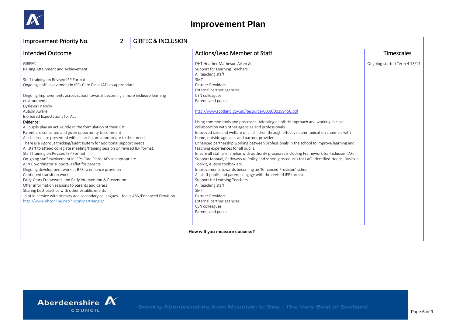

| Improvement Priority No.                                                                                                                                                                                                                                                                                                                                                                                                                                                                                                                                                                                                                                                                                                                                                                                                                                                                                                                                                                                                                                                                                                                                                                                                                                                                | $\overline{2}$ | <b>GIRFEC &amp; INCLUSION</b> |                                                                                                                                                                                                                                                                                                                                                                                                                                                                                                                                                                                                                                                                                                                                                                                                                                                                                                                                                                                                                                                                                                                                                                                                                           |                              |
|-----------------------------------------------------------------------------------------------------------------------------------------------------------------------------------------------------------------------------------------------------------------------------------------------------------------------------------------------------------------------------------------------------------------------------------------------------------------------------------------------------------------------------------------------------------------------------------------------------------------------------------------------------------------------------------------------------------------------------------------------------------------------------------------------------------------------------------------------------------------------------------------------------------------------------------------------------------------------------------------------------------------------------------------------------------------------------------------------------------------------------------------------------------------------------------------------------------------------------------------------------------------------------------------|----------------|-------------------------------|---------------------------------------------------------------------------------------------------------------------------------------------------------------------------------------------------------------------------------------------------------------------------------------------------------------------------------------------------------------------------------------------------------------------------------------------------------------------------------------------------------------------------------------------------------------------------------------------------------------------------------------------------------------------------------------------------------------------------------------------------------------------------------------------------------------------------------------------------------------------------------------------------------------------------------------------------------------------------------------------------------------------------------------------------------------------------------------------------------------------------------------------------------------------------------------------------------------------------|------------------------------|
| <b>Intended Outcome</b>                                                                                                                                                                                                                                                                                                                                                                                                                                                                                                                                                                                                                                                                                                                                                                                                                                                                                                                                                                                                                                                                                                                                                                                                                                                                 |                |                               | Actions/Lead Member of Staff                                                                                                                                                                                                                                                                                                                                                                                                                                                                                                                                                                                                                                                                                                                                                                                                                                                                                                                                                                                                                                                                                                                                                                                              | <b>Timescales</b>            |
| <b>GIRFEC</b><br>Raising Attainment and Achievement<br>Staff training on Revised IEP Format<br>Ongoing staff involvement in IEPs Care Plans IAFs as appropriate<br>Ongoing Improvements across school towards becoming a more inclusive learning<br>environment:<br>Dyslexia Friendly<br>Autism Aware<br>Increased Expectations for ALL<br>Evidence:<br>All pupils play an active role in the formulation of their IEP<br>Parent are consulted and given opportunity to comment<br>All children are presented with a curriculum appropriate to their needs.<br>There is a rigorous tracking/audit system for additional support needs<br>All staff to attend collegiate meeting/training session on revised IEP format.<br>Staff training on Revised IEP Format<br>On-going staff involvement in IEPs Care Plans IAFs as appropriate.<br>ASN Co-ordinator support-leaflet for parents<br>Ongoing development work at BPS to enhance provision<br>Continued transition work<br>Early Years Framework and Early Intervention & Prevention<br>Offer information sessions to parents and carers<br>Sharing best practice with other establishments<br>Joint in-service with primary and secondary colleagues - focus ASN/Enhanced Provision<br>http://www.nhconline.net/nhconline/triangle/ |                |                               | DHT Heather Matheson Aiken &<br>Support for Learning Teachers<br>All teaching staff<br><b>SMT</b><br>Partner Providers<br>External partner agencies<br>CSN colleagues<br>Parents and pupils<br>http://www.scotland.gov.uk/Resource/0039/00399456.pdf<br>Using common tools and processes. Adopting a holistic approach and working in close<br>collaboration with other agencies and professionals.<br>Improved care and welfare of all children through effective communication channels with<br>home, outside agencies and partner providers.<br>Enhanced partnership working between professionals in the school to improve learning and<br>teaching experiences for all pupils.<br>Ensure all staff are familiar with authority processes including Framework for Inclusion, IAF,<br>Support Manual, Pathways to Policy and school procedures for LAC, Identified Needs, Dyslexia<br>Toolkit, Autism toolbox etc.<br>Improvements towards becoming an 'Enhanced Provision' school.<br>All staff pupils and parents engage with the revised IEP format.<br>Support for Learning Teachers<br>All teaching staff<br><b>SMT</b><br>Partner Providers<br>External partner agencies<br>CSN colleagues<br>Parents and pupils | Ongoing-started Term 4 13/14 |
|                                                                                                                                                                                                                                                                                                                                                                                                                                                                                                                                                                                                                                                                                                                                                                                                                                                                                                                                                                                                                                                                                                                                                                                                                                                                                         |                |                               | How will you measure success?                                                                                                                                                                                                                                                                                                                                                                                                                                                                                                                                                                                                                                                                                                                                                                                                                                                                                                                                                                                                                                                                                                                                                                                             |                              |

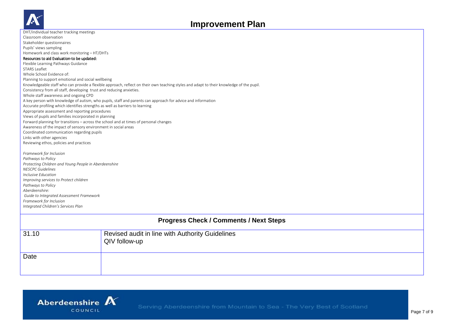

| DHT/individual teacher tracking meetings                                                                                                                                                                                                                                                                                                                  |                                                                                                                                          |  |  |  |  |
|-----------------------------------------------------------------------------------------------------------------------------------------------------------------------------------------------------------------------------------------------------------------------------------------------------------------------------------------------------------|------------------------------------------------------------------------------------------------------------------------------------------|--|--|--|--|
| Classroom observation                                                                                                                                                                                                                                                                                                                                     |                                                                                                                                          |  |  |  |  |
| Stakeholder questionnaires                                                                                                                                                                                                                                                                                                                                |                                                                                                                                          |  |  |  |  |
| Pupils' views sampling                                                                                                                                                                                                                                                                                                                                    |                                                                                                                                          |  |  |  |  |
| Homework and class work monitoring - HT/DHTs                                                                                                                                                                                                                                                                                                              |                                                                                                                                          |  |  |  |  |
| Resources to aid Evaluation-to be updated:                                                                                                                                                                                                                                                                                                                |                                                                                                                                          |  |  |  |  |
| Flexible Learning Pathways Guidance                                                                                                                                                                                                                                                                                                                       |                                                                                                                                          |  |  |  |  |
| <b>STARS Leaflet</b>                                                                                                                                                                                                                                                                                                                                      |                                                                                                                                          |  |  |  |  |
| Whole School Evidence of:                                                                                                                                                                                                                                                                                                                                 |                                                                                                                                          |  |  |  |  |
| Planning to support emotional and social wellbeing                                                                                                                                                                                                                                                                                                        |                                                                                                                                          |  |  |  |  |
|                                                                                                                                                                                                                                                                                                                                                           | Knowledgeable staff who can provide a flexible approach, reflect on their own teaching styles and adapt to their knowledge of the pupil. |  |  |  |  |
| Consistency from all staff, developing trust and reducing anxieties.                                                                                                                                                                                                                                                                                      |                                                                                                                                          |  |  |  |  |
| Whole staff awareness and ongoing CPD                                                                                                                                                                                                                                                                                                                     |                                                                                                                                          |  |  |  |  |
|                                                                                                                                                                                                                                                                                                                                                           | A key person with knowledge of autism, who pupils, staff and parents can approach for advice and information                             |  |  |  |  |
| Accurate profiling which identifies strengths as well as barriers to learning                                                                                                                                                                                                                                                                             |                                                                                                                                          |  |  |  |  |
|                                                                                                                                                                                                                                                                                                                                                           | Appropriate assessment and reporting procedures                                                                                          |  |  |  |  |
| Views of pupils and families incorporated in planning                                                                                                                                                                                                                                                                                                     |                                                                                                                                          |  |  |  |  |
|                                                                                                                                                                                                                                                                                                                                                           | Forward planning for transitions - across the school and at times of personal changes                                                    |  |  |  |  |
| Awareness of the impact of sensory environment in social areas                                                                                                                                                                                                                                                                                            |                                                                                                                                          |  |  |  |  |
| Coordinated communication regarding pupils                                                                                                                                                                                                                                                                                                                |                                                                                                                                          |  |  |  |  |
| Links with other agencies                                                                                                                                                                                                                                                                                                                                 |                                                                                                                                          |  |  |  |  |
| Reviewing ethos, policies and practices                                                                                                                                                                                                                                                                                                                   |                                                                                                                                          |  |  |  |  |
| Framework for Inclusion<br>Pathways to Policy<br>Protecting Children and Young People in Aberdeenshire<br><b>NESCPC</b> Guidelines<br>Inclusive Education<br>Improving services to Protect children<br>Pathways to Policy<br>Aberdeenshire:<br>Guide to Integrated Assessment Framework<br>Framework for Inclusion<br>Integrated Children's Services Plan |                                                                                                                                          |  |  |  |  |
|                                                                                                                                                                                                                                                                                                                                                           |                                                                                                                                          |  |  |  |  |
| <b>Progress Check / Comments / Next Steps</b>                                                                                                                                                                                                                                                                                                             |                                                                                                                                          |  |  |  |  |
| 31.10                                                                                                                                                                                                                                                                                                                                                     | Revised audit in line with Authority Guidelines<br>QIV follow-up                                                                         |  |  |  |  |
| Date                                                                                                                                                                                                                                                                                                                                                      |                                                                                                                                          |  |  |  |  |
|                                                                                                                                                                                                                                                                                                                                                           |                                                                                                                                          |  |  |  |  |

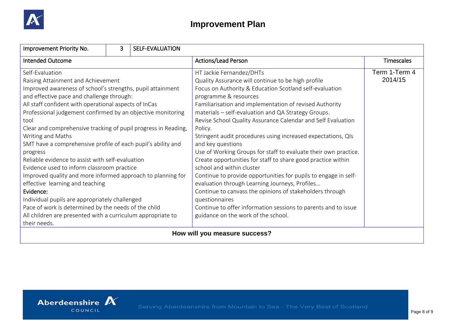

| Improvement Priority No.                                                                                                                                                                                                                                                                                                                                                                                                                                                                                                                                                                                                             | 3 | SELF-EVALUATION |                                                                                                                                                                                                                                                                                                                                                                                                                                                                                                                                                                                                                                                                                         |                          |
|--------------------------------------------------------------------------------------------------------------------------------------------------------------------------------------------------------------------------------------------------------------------------------------------------------------------------------------------------------------------------------------------------------------------------------------------------------------------------------------------------------------------------------------------------------------------------------------------------------------------------------------|---|-----------------|-----------------------------------------------------------------------------------------------------------------------------------------------------------------------------------------------------------------------------------------------------------------------------------------------------------------------------------------------------------------------------------------------------------------------------------------------------------------------------------------------------------------------------------------------------------------------------------------------------------------------------------------------------------------------------------------|--------------------------|
| <b>Intended Outcome</b>                                                                                                                                                                                                                                                                                                                                                                                                                                                                                                                                                                                                              |   |                 | <b>Actions/Lead Person</b>                                                                                                                                                                                                                                                                                                                                                                                                                                                                                                                                                                                                                                                              | <b>Timescales</b>        |
| Self-Evaluation<br>Raising Attainment and Achievement<br>Improved awareness of school's strengths, pupil attainment<br>and effective pace and challenge through:<br>All staff confident with operational aspects of InCas<br>Professional judgement confirmed by an objective monitoring<br>tool<br>Clear and comprehensive tracking of pupil progress in Reading,<br>Writing and Maths<br>SMT have a comprehensive profile of each pupil's ability and<br>progress<br>Reliable evidence to assist with self-evaluation<br>Evidence used to inform classroom practice<br>Improved quality and more informed approach to planning for |   |                 | HT Jackie Fernandez/DHTs<br>Quality Assurance will continue to be high profile<br>Focus on Authority & Education Scotland self-evaluation<br>programme & resources<br>Familiarisation and implementation of revised Authority<br>materials - self-evaluation and QA Strategy Groups.<br>Revise School Quality Assurance Calendar and Self Evaluation<br>Policy.<br>Stringent audit procedures using increased expectations, QIs<br>and key questions<br>Use of Working Groups for staff to evaluate their own practice.<br>Create opportunities for staff to share good practice within<br>school and within cluster<br>Continue to provide opportunities for pupils to engage in self- | Term 1-Term 4<br>2014/15 |
| effective learning and teaching<br>Evidence:<br>Individual pupils are appropriately challenged<br>Pace of work is determined by the needs of the child<br>All children are presented with a curriculum appropriate to<br>their needs.                                                                                                                                                                                                                                                                                                                                                                                                |   |                 | evaluation through Learning Journeys, Profiles<br>Continue to canvass the opinions of stakeholders through<br>questionnaires<br>Continue to offer information sessions to parents and to issue<br>guidance on the work of the school.                                                                                                                                                                                                                                                                                                                                                                                                                                                   |                          |
| How will you measure success?                                                                                                                                                                                                                                                                                                                                                                                                                                                                                                                                                                                                        |   |                 |                                                                                                                                                                                                                                                                                                                                                                                                                                                                                                                                                                                                                                                                                         |                          |